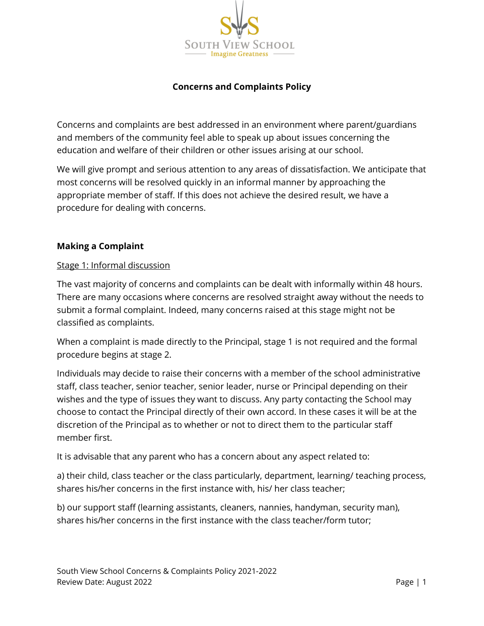

## **Concerns and Complaints Policy**

Concerns and complaints are best addressed in an environment where parent/guardians and members of the community feel able to speak up about issues concerning the education and welfare of their children or other issues arising at our school.

We will give prompt and serious attention to any areas of dissatisfaction. We anticipate that most concerns will be resolved quickly in an informal manner by approaching the appropriate member of staff. If this does not achieve the desired result, we have a procedure for dealing with concerns.

### **Making a Complaint**

### Stage 1: Informal discussion

The vast majority of concerns and complaints can be dealt with informally within 48 hours. There are many occasions where concerns are resolved straight away without the needs to submit a formal complaint. Indeed, many concerns raised at this stage might not be classified as complaints.

When a complaint is made directly to the Principal, stage 1 is not required and the formal procedure begins at stage 2.

Individuals may decide to raise their concerns with a member of the school administrative staff, class teacher, senior teacher, senior leader, nurse or Principal depending on their wishes and the type of issues they want to discuss. Any party contacting the School may choose to contact the Principal directly of their own accord. In these cases it will be at the discretion of the Principal as to whether or not to direct them to the particular staff member first.

It is advisable that any parent who has a concern about any aspect related to:

a) their child, class teacher or the class particularly, department, learning/ teaching process, shares his/her concerns in the first instance with, his/ her class teacher;

b) our support staff (learning assistants, cleaners, nannies, handyman, security man), shares his/her concerns in the first instance with the class teacher/form tutor;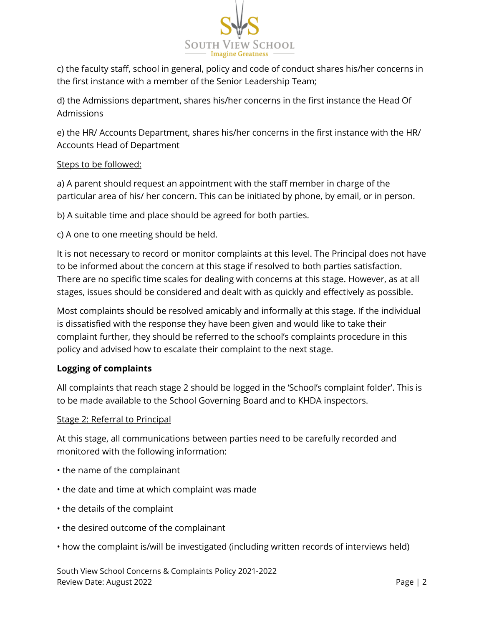

c) the faculty staff, school in general, policy and code of conduct shares his/her concerns in the first instance with a member of the Senior Leadership Team;

d) the Admissions department, shares his/her concerns in the first instance the Head Of Admissions

e) the HR/ Accounts Department, shares his/her concerns in the first instance with the HR/ Accounts Head of Department

## Steps to be followed:

a) A parent should request an appointment with the staff member in charge of the particular area of his/ her concern. This can be initiated by phone, by email, or in person.

b) A suitable time and place should be agreed for both parties.

c) A one to one meeting should be held.

It is not necessary to record or monitor complaints at this level. The Principal does not have to be informed about the concern at this stage if resolved to both parties satisfaction. There are no specific time scales for dealing with concerns at this stage. However, as at all stages, issues should be considered and dealt with as quickly and effectively as possible.

Most complaints should be resolved amicably and informally at this stage. If the individual is dissatisfied with the response they have been given and would like to take their complaint further, they should be referred to the school's complaints procedure in this policy and advised how to escalate their complaint to the next stage.

## **Logging of complaints**

All complaints that reach stage 2 should be logged in the 'School's complaint folder'. This is to be made available to the School Governing Board and to KHDA inspectors.

## Stage 2: Referral to Principal

At this stage, all communications between parties need to be carefully recorded and monitored with the following information:

- the name of the complainant
- the date and time at which complaint was made
- the details of the complaint
- the desired outcome of the complainant
- how the complaint is/will be investigated (including written records of interviews held)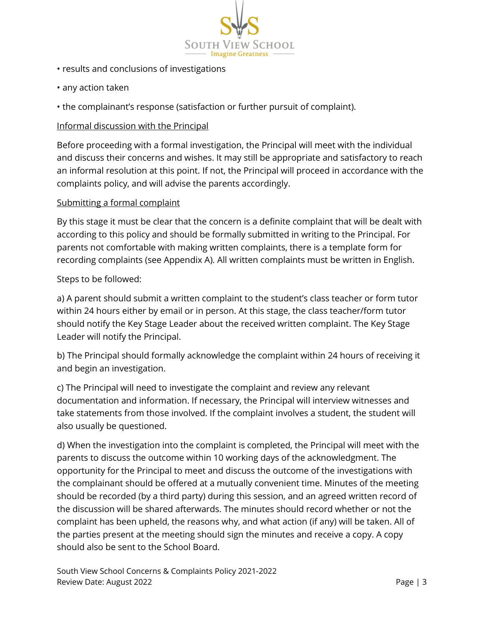

- results and conclusions of investigations
- any action taken
- the complainant's response (satisfaction or further pursuit of complaint).

## Informal discussion with the Principal

Before proceeding with a formal investigation, the Principal will meet with the individual and discuss their concerns and wishes. It may still be appropriate and satisfactory to reach an informal resolution at this point. If not, the Principal will proceed in accordance with the complaints policy, and will advise the parents accordingly.

## Submitting a formal complaint

By this stage it must be clear that the concern is a definite complaint that will be dealt with according to this policy and should be formally submitted in writing to the Principal. For parents not comfortable with making written complaints, there is a template form for recording complaints (see Appendix A). All written complaints must be written in English.

### Steps to be followed:

a) A parent should submit a written complaint to the student's class teacher or form tutor within 24 hours either by email or in person. At this stage, the class teacher/form tutor should notify the Key Stage Leader about the received written complaint. The Key Stage Leader will notify the Principal.

b) The Principal should formally acknowledge the complaint within 24 hours of receiving it and begin an investigation.

c) The Principal will need to investigate the complaint and review any relevant documentation and information. If necessary, the Principal will interview witnesses and take statements from those involved. If the complaint involves a student, the student will also usually be questioned.

d) When the investigation into the complaint is completed, the Principal will meet with the parents to discuss the outcome within 10 working days of the acknowledgment. The opportunity for the Principal to meet and discuss the outcome of the investigations with the complainant should be offered at a mutually convenient time. Minutes of the meeting should be recorded (by a third party) during this session, and an agreed written record of the discussion will be shared afterwards. The minutes should record whether or not the complaint has been upheld, the reasons why, and what action (if any) will be taken. All of the parties present at the meeting should sign the minutes and receive a copy. A copy should also be sent to the School Board.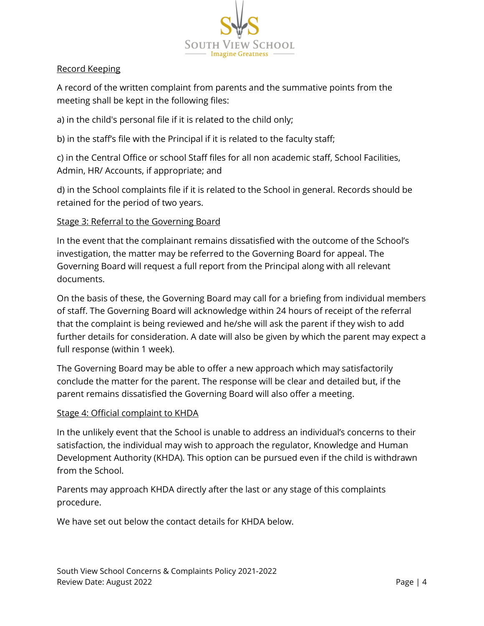

### Record Keeping

A record of the written complaint from parents and the summative points from the meeting shall be kept in the following files:

a) in the child's personal file if it is related to the child only;

b) in the staff's file with the Principal if it is related to the faculty staff;

c) in the Central Office or school Staff files for all non academic staff, School Facilities, Admin, HR/ Accounts, if appropriate; and

d) in the School complaints file if it is related to the School in general. Records should be retained for the period of two years.

### Stage 3: Referral to the Governing Board

In the event that the complainant remains dissatisfied with the outcome of the School's investigation, the matter may be referred to the Governing Board for appeal. The Governing Board will request a full report from the Principal along with all relevant documents.

On the basis of these, the Governing Board may call for a briefing from individual members of staff. The Governing Board will acknowledge within 24 hours of receipt of the referral that the complaint is being reviewed and he/she will ask the parent if they wish to add further details for consideration. A date will also be given by which the parent may expect a full response (within 1 week).

The Governing Board may be able to offer a new approach which may satisfactorily conclude the matter for the parent. The response will be clear and detailed but, if the parent remains dissatisfied the Governing Board will also offer a meeting.

#### Stage 4: Official complaint to KHDA

In the unlikely event that the School is unable to address an individual's concerns to their satisfaction, the individual may wish to approach the regulator, Knowledge and Human Development Authority (KHDA). This option can be pursued even if the child is withdrawn from the School.

Parents may approach KHDA directly after the last or any stage of this complaints procedure.

We have set out below the contact details for KHDA below.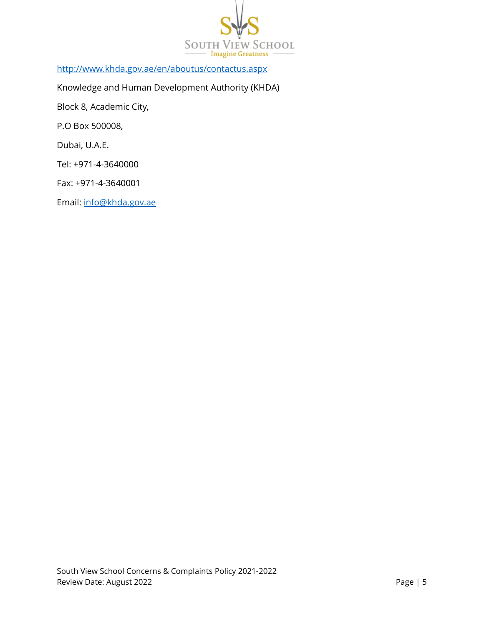

<http://www.khda.gov.ae/en/aboutus/contactus.aspx>

Knowledge and Human Development Authority (KHDA)

Block 8, Academic City,

P.O Box 500008,

Dubai, U.A.E.

Tel: +971-4-3640000

Fax: +971-4-3640001

Email: [info@khda.gov.ae](mailto:info@khda.gov.ae)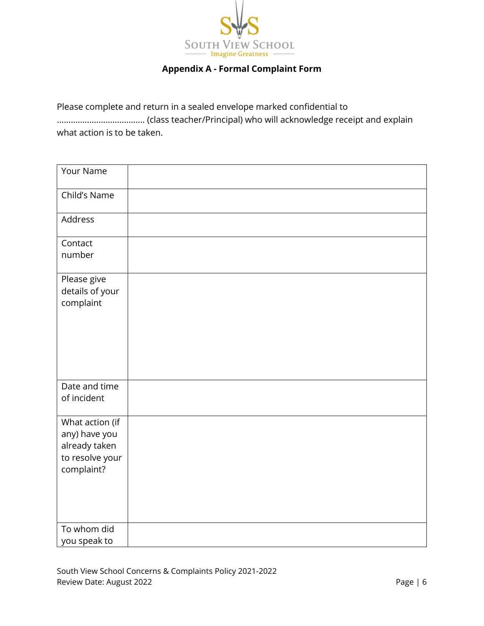

# **Appendix A - Formal Complaint Form**

Please complete and return in a sealed envelope marked confidential to ...................................... (class teacher/Principal) who will acknowledge receipt and explain what action is to be taken.

| Your Name                                                                          |  |
|------------------------------------------------------------------------------------|--|
| Child's Name                                                                       |  |
| Address                                                                            |  |
| Contact<br>number                                                                  |  |
| Please give<br>details of your<br>complaint                                        |  |
| Date and time<br>of incident                                                       |  |
| What action (if<br>any) have you<br>already taken<br>to resolve your<br>complaint? |  |
| To whom did<br>you speak to                                                        |  |